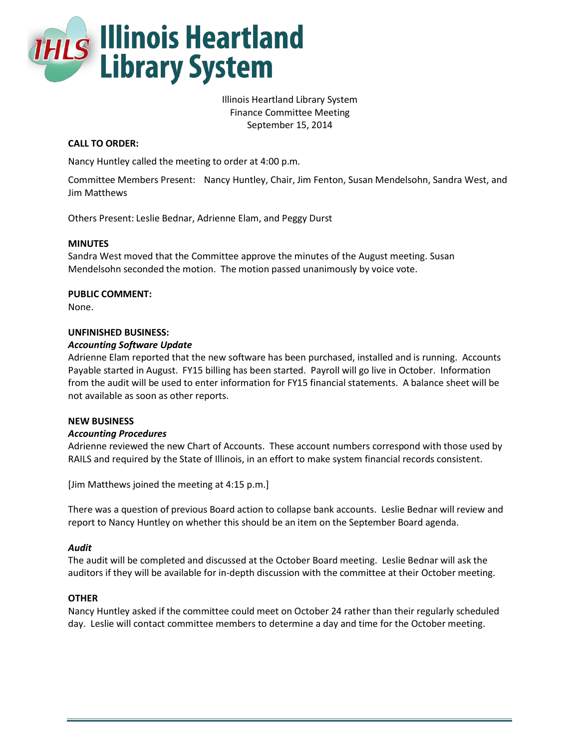

Illinois Heartland Library System Finance Committee Meeting September 15, 2014

# **CALL TO ORDER:**

Nancy Huntley called the meeting to order at 4:00 p.m.

Committee Members Present: Nancy Huntley, Chair, Jim Fenton, Susan Mendelsohn, Sandra West, and Jim Matthews

Others Present: Leslie Bednar, Adrienne Elam, and Peggy Durst

## **MINUTES**

Sandra West moved that the Committee approve the minutes of the August meeting. Susan Mendelsohn seconded the motion. The motion passed unanimously by voice vote.

## **PUBLIC COMMENT:**

None.

## **UNFINISHED BUSINESS:**

## *Accounting Software Update*

Adrienne Elam reported that the new software has been purchased, installed and is running. Accounts Payable started in August. FY15 billing has been started. Payroll will go live in October. Information from the audit will be used to enter information for FY15 financial statements. A balance sheet will be not available as soon as other reports.

## **NEW BUSINESS**

### *Accounting Procedures*

Adrienne reviewed the new Chart of Accounts. These account numbers correspond with those used by RAILS and required by the State of Illinois, in an effort to make system financial records consistent.

[Jim Matthews joined the meeting at 4:15 p.m.]

There was a question of previous Board action to collapse bank accounts. Leslie Bednar will review and report to Nancy Huntley on whether this should be an item on the September Board agenda.

### *Audit*

The audit will be completed and discussed at the October Board meeting. Leslie Bednar will ask the auditors if they will be available for in-depth discussion with the committee at their October meeting.

### **OTHER**

Nancy Huntley asked if the committee could meet on October 24 rather than their regularly scheduled day. Leslie will contact committee members to determine a day and time for the October meeting.